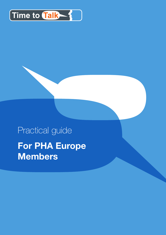

# Practical guide **For PHA Europe Members**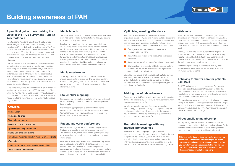#### **A practical guide to maximizing the value of the IPCS survey and** *Time to Talk* **materials**

The International Patient and Carer Survey (IPCS) provides valuable insights into the true burden of Pulmonary Arterial Hypertension (PAH) on both patients and their carers. The *Time to Talk Patient and Carer Pack* has been developed as a direct response to the IPCS findings. It aims to encourage open and honest discussion about the challenges of living with PAH and to make it easier for patients and carers to access the support they need.

The next priority is to raise awareness of the availability of these materials so that as many people as possible can benefit from them. This guide outlines a range of activities you can use to spread the word about the impact and true burden of PAH and encourage uptake of the new tools. The specific details and procedures will vary from country to country and some of the activities may not be relevant or may already have been carried out in your area. Simply select the activities that are most appropriate for your situation.

To get you started, we have included ten initiatives which can be used to promote awareness of the IPCS findings and the *Time to Talk* tools. A simple 'how to guide' for each of the activities can be found in the second half of this pack, with practical, step-by-step instructions, tips for maximizing success and template materials for you to use.

#### **Media launch**

The IPCS results and the launch of the dialogue tools are excellent news hooks and could be launched to the media in your country, if this has not already taken place.

Develop a press pack comprising a press release, factsheet on PAH and summary of the survey results. You may need to do different versions targeted towards different types of media (templates are included later in this guide). It is important to make the materials as relevant as possible to your local media, for example by including quotes from patients who have used the dialogue tool or healthcare professionals in your country. If possible, these contacts should be available for interview. A good distribution list is also vital so check your contacts carefully.

#### **Media one-to-ones**

Target key journalists with the offer of individual briefings with medical experts, patients and carers. This can be an excellent means of building strong relationships with these journalists and can also result in more in-depth feature coverage rather than shorter news items.

#### **Stakeholder mapping**

Stakeholders are individuals or organizations that have an interest in, are affected by, or have the potential to influence a particular issue or topic.

Stakeholder mapping consists of carrying out research to determine which stakeholders could be most valuable to you in terms of achieving your objectives, allowing you to focus your efforts and achieve maximum results.

#### **Patient and carer conferences**

Use the IPCS findings and the launch of the dialogue tools as the basis for a patient and carer conference in your country. The format could vary from a small, informal gathering to a larger, more sophisticated event with a panel of speakers and a range of workshops.

Invite a local healthcare professional to present the survey findings and to discuss the implications with particular reference to your local situation. Invite attendees to use the dialogue tools and encourage them to discuss their experiences. Invite local media to cover the event and offer interviews with healthcare professionals and/or patients and carers to talk about the impact of PAH.

PAH patient organizations are ideally placed to discuss the issues relating to the disease. Lobbying can vary from small-scale, highly targeted tactics to major, long-term campaigns. Lobbying seldom delivers immediate results but with determination and patience, it can be a powerful driver for change.

## **Building awareness of PAH**

#### **Optimizing meeting attendance**

Attending national meetings or conferences as a patient organization can be costly and time-intensive and so it is important to ensure you make the most out of it. The key is to publicize your attendance as widely as possible and to offer features that will attract the maximum audience to your stand. Possibilities include:

- Offering the *Time to Talk Patient and Carer Pack* as giveaways from your stand
- **C** Running the video version of the dialogue tool on a loop on your stand
- **C** Running the webcast (if appropriate) on a loop on your stand
- $\bullet$ Offering visitors the opportunity to fill in the dialogue tool and to discuss the results with a member of your organization and/or a healthcare professional.

Journalists from national and local media are likely to be covering the meeting. Alert them to the fact that you will be attending, ensure that you have press materials available and, if feasible, offer interviews with representatives of your organization, patients or healthcare professionals.

#### **Making use of related events**

Resources are limited for all patient organizations so it is important to make the most of every opportunity to make useful contacts or increase awareness about PAH.

Whether you are attending a conference as a delegate or representing your organization as a guest at a press briefing for another organization, there will be opportunities for networking. You should make use of every opportunity to spread the word about your organization and about PAH.

#### **Roundtable meetings with key medical professionals**

Roundtable meetings bring together a group of medical professionals (and sometimes other stakeholders) with an interest in a particular topic or issue. Such an event will usually have a clearly defined objective, such as developing a strategy for improving diagnosis, producing a report for publication in a key journal, or developing a consensus statement or set of guidelines.



#### **Webcasts**

A webcast is a way of streaming or broadcasting an interview or presentation over the internet. It can be transmitted live, in which case the audience is alerted in advance to the forthcoming event, and can even interact with the presenter. Alternatively, it can be made available 'on demand' so that it can be accessed whenever required.

The IPCS survey results and the launch of the dialogue tools would be ideal topics for a webcast to be made available via your website. This could include a step-by-step guide to using the dialogue tools and an interview with a patient/carer who has used the tool and can explain how it has helped them.

The technology for setting up a webcast is relatively simple and inexpensive and in a later section we will provide further information on how to do this.

#### **Lobbying for better care for patients with PAH**

The IPCS findings show that in many countries PAH patients and their carers do not have access to the support and care they need. Where service provision is currently inadequate there is a need to lobby to help provide a more comprehensive standard of care for all PAH patients and their carers.

#### **Direct emails to membership**

Sending out regular email updates to members can help to engage your membership and build an on-going dialogue. Emails can draw attention to news items or media coverage or invite members to participate in media activity or to share their views.

This list is a starting point and we would welcome your comments and feedback on activities you have tried – both positive and negative experiences – and any tips you have for maximizing success. In this way we can build up a database of Best Practice Case Studies. Please contact p.ferrari@phaeurope.org.

### **Activities** Media launch Media one-to-ones Stakeholder mapping Patient and carer conferences Optimizing meeting attendance Making use of related events Roundtable meetings with key medical professionals **Webcasts** Lobbying for better care for patients with PAH Direct emails to membership